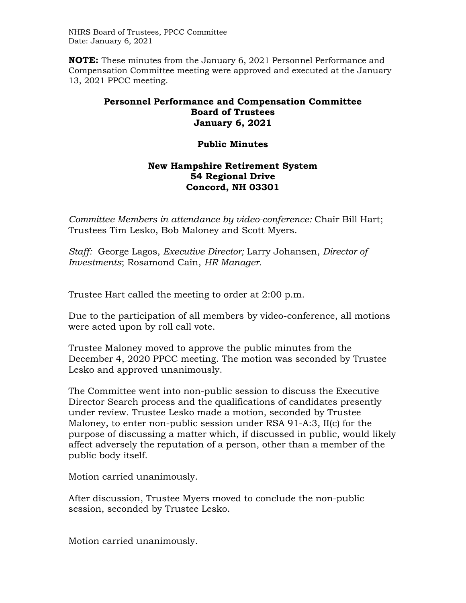NHRS Board of Trustees, PPCC Committee Date: January 6, 2021

**NOTE:** These minutes from the January 6, 2021 Personnel Performance and Compensation Committee meeting were approved and executed at the January 13, 2021 PPCC meeting.

## **Personnel Performance and Compensation Committee Board of Trustees January 6, 2021**

## **Public Minutes**

## **New Hampshire Retirement System 54 Regional Drive Concord, NH 03301**

*Committee Members in attendance by video-conference:* Chair Bill Hart; Trustees Tim Lesko, Bob Maloney and Scott Myers.

*Staff:* George Lagos, *Executive Director;* Larry Johansen, *Director of Investments*; Rosamond Cain, *HR Manager*.

Trustee Hart called the meeting to order at 2:00 p.m.

Due to the participation of all members by video-conference, all motions were acted upon by roll call vote.

Trustee Maloney moved to approve the public minutes from the December 4, 2020 PPCC meeting. The motion was seconded by Trustee Lesko and approved unanimously.

The Committee went into non-public session to discuss the Executive Director Search process and the qualifications of candidates presently under review. Trustee Lesko made a motion, seconded by Trustee Maloney, to enter non-public session under RSA 91-A:3, II(c) for the purpose of discussing a matter which, if discussed in public, would likely affect adversely the reputation of a person, other than a member of the public body itself.

Motion carried unanimously.

After discussion, Trustee Myers moved to conclude the non-public session, seconded by Trustee Lesko.

Motion carried unanimously.